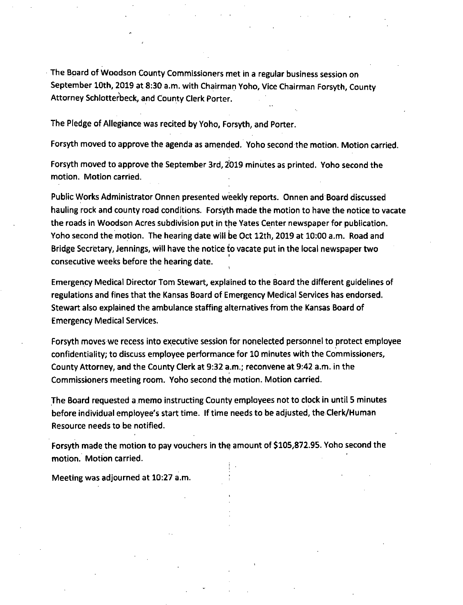The Board of Woodson County Commissioners met in a regular business session on September 10th, 2019 at 8:30 a.m. with Chairman Yoho, Vice Chairman Forsyth, County Attorney Schlotterbeck, and County Clerk Porter.

The Pledge of Allegiance was recited by Yoho, Forsyth, and Porter.

Forsyth moved to approve the agenda as amended. Yoho second the motion. Motion carried.

Forsyth moved to approve the September 3rd, 2019 minutes as printed. Yoho second the motion. Motion carried.

Public Works Administrator Onnen presented weekly reports. Onnen and Board discussed hauling rock and county road conditions. Forsyth made the motion to have the notice to vacate the roads in Woodson Acres subdivision put in the Yates Center newspaper for publication. Yoho second the motion. The hearing date will be Oct 12th, 2019 at 10:00 a.m. Road and Bridge Secretary, Jennings, will have the notice io vacate put in the local newspaper two consecutive weeks before the hearing date.

Emergency Medical Director Tom Stewart, explained to the Board the different guidelines of regulations and fines that the Kansas Board of Emergency Medical Services has endorsed. Stewart also explained the ambulance staffing alternatives from the Kansas Board of Emergency Medical Services.

Forsyth moves we recess into executive session for nonelected personnel to protect employee confidentiality; to discuss employee performance for 10 minutes with the Commissioners, County Attorney, and the County Clerk at 9:32 a.m.; reconvene at 9:42 a.m. in the Commissioners meeting room. Yoho second the motion. Motion carried.

The Board requested a memo instructing County employees not to clock in until 5 minutes before individual employee's start time. If time needs to be adjusted, the Clerk/Human Resource needs to be notified.

Forsyth made the motion to pay vouchers in the amount of \$105,872.95. Yoho second the motion. Motion carried.

Meeting was adjourned at 10:27 a.m.